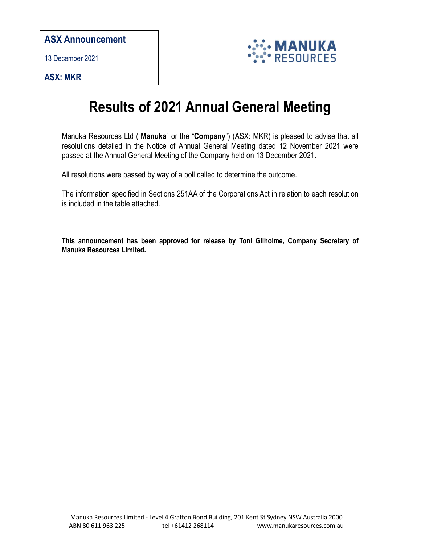## ASX Announcement

13 December 2021

ASX: MKR



## Results of 2021 Annual General Meeting

Manuka Resources Ltd ("Manuka" or the "Company") (ASX: MKR) is pleased to advise that all resolutions detailed in the Notice of Annual General Meeting dated 12 November 2021 were passed at the Annual General Meeting of the Company held on 13 December 2021.

All resolutions were passed by way of a poll called to determine the outcome.

The information specified in Sections 251AA of the Corporations Act in relation to each resolution is included in the table attached.

This announcement has been approved for release by Toni Gilholme, Company Secretary of Manuka Resources Limited.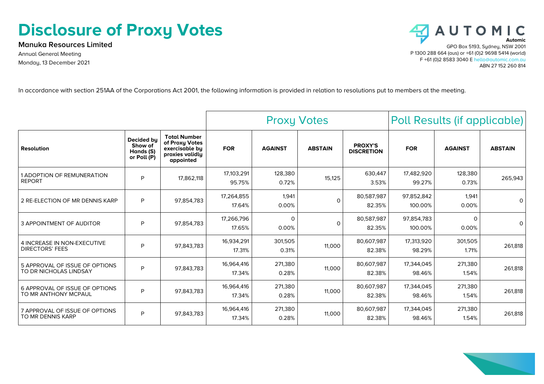## **Disclosure of Proxy Votes**

**Manuka Resources Limited** Annual General Meeting Monday, 13 December 2021



In accordance with section 251AA of the Corporations Act 2001, the following information is provided in relation to resolutions put to members at the meeting.

|                                                          |                                                   |                                                                                         | <b>Proxy Votes</b>   |                   |                | Poll Results (if applicable)        |                       |                   |                |
|----------------------------------------------------------|---------------------------------------------------|-----------------------------------------------------------------------------------------|----------------------|-------------------|----------------|-------------------------------------|-----------------------|-------------------|----------------|
| <b>Resolution</b>                                        | Decided by<br>Show of<br>Hands (S)<br>or Poll (P) | <b>Total Number</b><br>of Proxy Votes<br>exercisable by<br>proxies validly<br>appointed | <b>FOR</b>           | <b>AGAINST</b>    | <b>ABSTAIN</b> | <b>PROXY'S</b><br><b>DISCRETION</b> | <b>FOR</b>            | <b>AGAINST</b>    | <b>ABSTAIN</b> |
| 1 ADOPTION OF REMUNERATION<br><b>REPORT</b>              | P                                                 | 17,862,118                                                                              | 17,103,291<br>95.75% | 128,380<br>0.72%  | 15,125         | 630.447<br>3.53%                    | 17,482,920<br>99.27%  | 128,380<br>0.73%  | 265,943        |
| 2 RE-ELECTION OF MR DENNIS KARP                          | P                                                 | 97,854,783                                                                              | 17,264,855<br>17.64% | 1,941<br>0.00%    | $\Omega$       | 80,587,987<br>82.35%                | 97,852,842<br>100.00% | 1,941<br>0.00%    | 0              |
| <b>3 APPOINTMENT OF AUDITOR</b>                          | P                                                 | 97,854,783                                                                              | 17,266,796<br>17.65% | $\Omega$<br>0.00% | $\Omega$       | 80.587.987<br>82.35%                | 97,854,783<br>100.00% | $\Omega$<br>0.00% | $\Omega$       |
| 4 INCREASE IN NON-EXECUTIVE<br><b>DIRECTORS' FEES</b>    | P                                                 | 97.843.783                                                                              | 16,934,291<br>17.31% | 301,505<br>0.31%  | 11,000         | 80,607,987<br>82.38%                | 17,313,920<br>98.29%  | 301,505<br>1.71%  | 261,818        |
| 5 APPROVAL OF ISSUE OF OPTIONS<br>TO DR NICHOLAS LINDSAY | P                                                 | 97.843.783                                                                              | 16,964,416<br>17.34% | 271,380<br>0.28%  | 11,000         | 80,607,987<br>82.38%                | 17,344,045<br>98.46%  | 271,380<br>1.54%  | 261,818        |
| 6 APPROVAL OF ISSUE OF OPTIONS<br>TO MR ANTHONY MCPAUL   | P                                                 | 97.843.783                                                                              | 16,964,416<br>17.34% | 271,380<br>0.28%  | 11,000         | 80,607,987<br>82.38%                | 17,344,045<br>98.46%  | 271,380<br>1.54%  | 261,818        |
| 7 APPROVAL OF ISSUE OF OPTIONS<br>TO MR DENNIS KARP      | P                                                 | 97.843.783                                                                              | 16,964,416<br>17.34% | 271,380<br>0.28%  | 11,000         | 80,607,987<br>82.38%                | 17,344,045<br>98.46%  | 271,380<br>1.54%  | 261,818        |